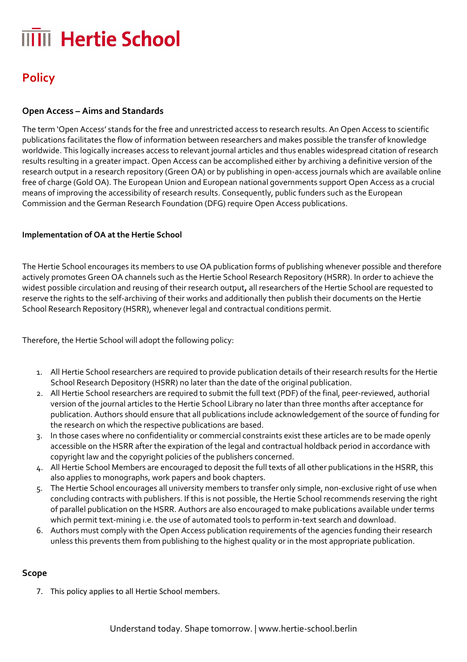# **MIII** Hertie School

### **Policy**

#### **Open Access – Aims and Standards**

The term 'Open Access' stands for the free and unrestricted access to research results. An Open Access to scientific publications facilitates the flow of information between researchers and makes possible the transfer of knowledge worldwide. This logically increases access to relevant journal articles and thus enables widespread citation of research results resulting in a greater impact. Open Access can be accomplished either by archiving a definitive version of the research output in a research repository (Green OA) or by publishing in open-access journals which are available online free of charge (Gold OA). The European Union and European national governments support Open Access as a crucial means of improving the accessibility of research results. Consequently, public funders such as the European Commission and the German Research Foundation (DFG) require Open Access publications.

#### **Implementation of OA at the Hertie School**

The Hertie School encourages its members to use OA publication forms of publishing whenever possible and therefore actively promotes Green OA channels such as the Hertie School Research Repository (HSRR). In order to achieve the widest possible circulation and reusing of their research output**,** all researchers of the Hertie School are requested to reserve the rights to the self-archiving of their works and additionally then publish their documents on the Hertie School Research Repository (HSRR), whenever legal and contractual conditions permit.

Therefore, the Hertie School will adopt the following policy:

- 1. All Hertie School researchers are required to provide publication details of their research results for the Hertie School Research Depository (HSRR) no later than the date of the original publication.
- 2. All Hertie School researchers are required to submit the full text (PDF) of the final, peer-reviewed, authorial version of the journal articles to the Hertie School Library no later than three months after acceptance for publication. Authors should ensure that all publications include acknowledgement of the source of funding for the research on which the respective publications are based.
- 3. In those cases where no confidentiality or commercial constraints exist these articles are to be made openly accessible on the HSRR after the expiration of the legal and contractual holdback period in accordance with copyright law and the copyright policies of the publishers concerned.
- 4. All Hertie School Members are encouraged to deposit the full texts of all other publications in the HSRR, this also applies to monographs, work papers and book chapters.
- 5. The Hertie School encourages all university members to transfer only simple, non-exclusive right of use when concluding contracts with publishers. If this is not possible, the Hertie School recommends reserving the right of parallel publication on the HSRR. Authors are also encouraged to make publications available under terms which permit text-mining i.e. the use of automated tools to perform in-text search and download.
- 6. Authors must comply with the Open Access publication requirements of the agencies funding their research unless this prevents them from publishing to the highest quality or in the most appropriate publication.

#### **Scope**

7. This policy applies to all Hertie School members.